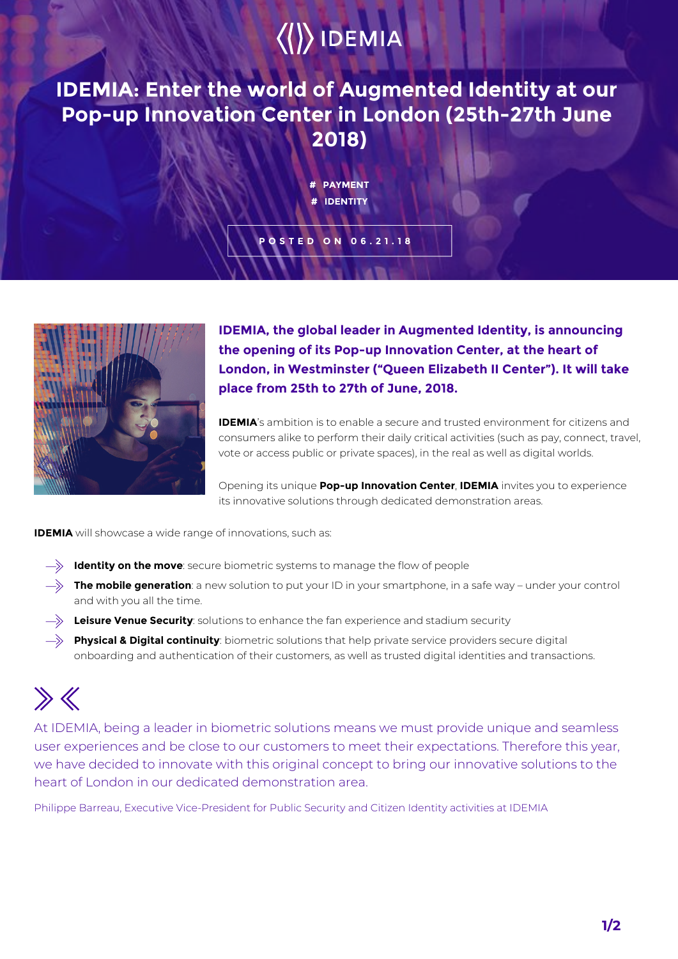# $\langle\langle\rangle\rangle$  IDEMIA

**IDEMIA: Enter the world of Augmented Identity at our Pop-up Innovation Center in London (25th-27th June 2018)**

### **# PAYMENT # IDENTITY**

**POSTED ON 06.21.18**



**IDEMIA, the global leader in Augmented Identity, is announcing the opening of its Pop-up Innovation Center, at the heart of London, in Westminster ("Queen Elizabeth II Center"). It will take place from 25th to 27th of June, 2018.**

**IDEMIA**'s ambition is to enable a secure and trusted environment for citizens and consumers alike to perform their daily critical activities (such as pay, connect, travel, vote or access public or private spaces), in the real as well as digital worlds.

Opening its unique **Pop-up Innovation Center**, **IDEMIA** invites you to experience its innovative solutions through dedicated demonstration areas.

**IDEMIA** will showcase a wide range of innovations, such as:

- **Identity on the move**: secure biometric systems to manage the flow of people
- $\rightarrow$  **The mobile generation**: a new solution to put your ID in your smartphone, in a safe way under your control and with you all the time.
- **Leisure Venue Security**: solutions to enhance the fan experience and stadium security
- **Physical & Digital continuity**: biometric solutions that help private service providers secure digital onboarding and authentication of their customers, as well as trusted digital identities and transactions.

## $\gg K$

At IDEMIA, being a leader in biometric solutions means we must provide unique and seamless user experiences and be close to our customers to meet their expectations. Therefore this year, we have decided to innovate with this original concept to bring our innovative solutions to the heart of London in our dedicated demonstration area.

Philippe Barreau, Executive Vice-President for Public Security and Citizen Identity activities at IDEMIA